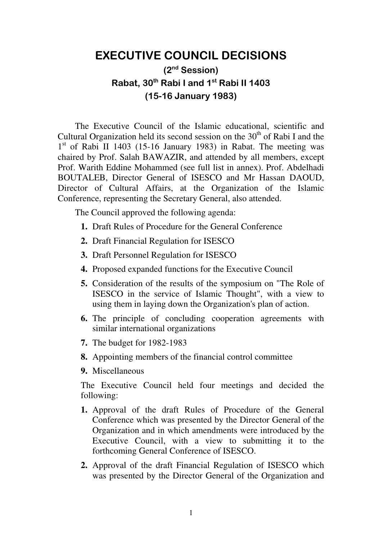## **EXECUTIVE COUNCIL DECISIONS**

## **(2nd Session) Rabat, 30th Rabi I and 1st Rabi II 1403 (15-16 January 1983)**

The Executive Council of the Islamic educational, scientific and Cultural Organization held its second session on the  $30<sup>th</sup>$  of Rabi I and the 1<sup>st</sup> of Rabi II 1403 (15-16 January 1983) in Rabat. The meeting was chaired by Prof. Salah BAWAZIR, and attended by all members, except Prof. Warith Eddine Mohammed (see full list in annex). Prof. Abdelhadi BOUTALEB, Director General of ISESCO and Mr Hassan DAOUD, Director of Cultural Affairs, at the Organization of the Islamic Conference, representing the Secretary General, also attended.

The Council approved the following agenda:

- **1.** Draft Rules of Procedure for the General Conference
- **2.** Draft Financial Regulation for ISESCO
- **3.** Draft Personnel Regulation for ISESCO
- **4.** Proposed expanded functions for the Executive Council
- **5.** Consideration of the results of the symposium on "The Role of ISESCO in the service of Islamic Thought", with a view to using them in laying down the Organization's plan of action.
- **6.** The principle of concluding cooperation agreements with similar international organizations
- **7.** The budget for 1982-1983
- **8.** Appointing members of the financial control committee
- **9.** Miscellaneous

The Executive Council held four meetings and decided the following:

- **1.** Approval of the draft Rules of Procedure of the General Conference which was presented by the Director General of the Organization and in which amendments were introduced by the Executive Council, with a view to submitting it to the forthcoming General Conference of ISESCO.
- **2.** Approval of the draft Financial Regulation of ISESCO which was presented by the Director General of the Organization and